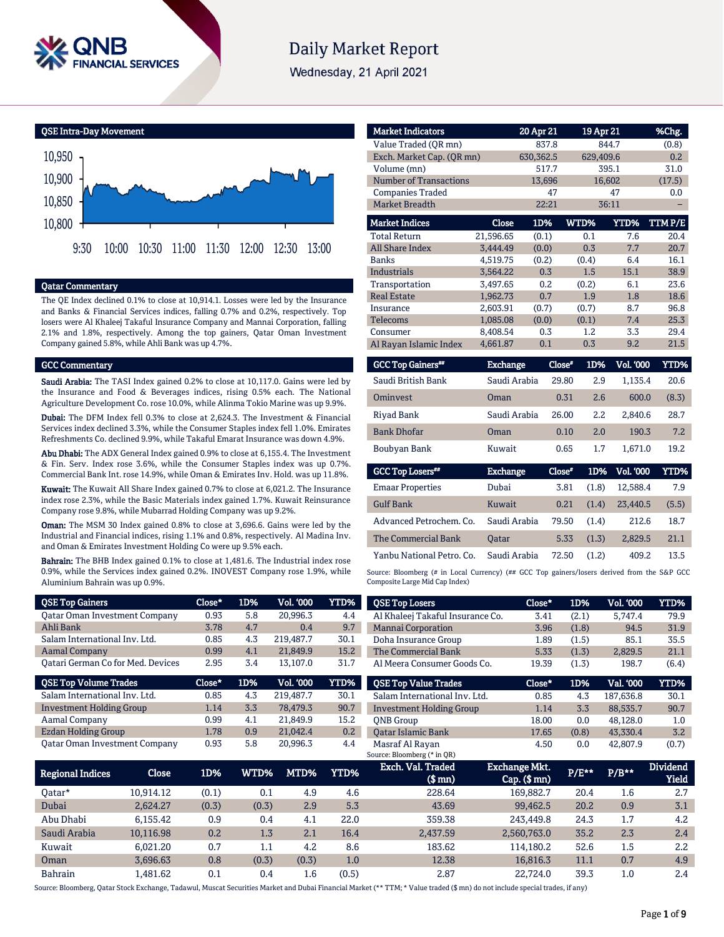

# **Daily Market Report**

Wednesday, 21 April 2021

QSE Intra-Day Movement



### Qatar Commentary

The QE Index declined 0.1% to close at 10,914.1. Losses were led by the Insurance and Banks & Financial Services indices, falling 0.7% and 0.2%, respectively. Top losers were Al Khaleej Takaful Insurance Company and Mannai Corporation, falling 2.1% and 1.8%, respectively. Among the top gainers, Qatar Oman Investment Company gained 5.8%, while Ahli Bank was up 4.7%.

#### GCC Commentary

Saudi Arabia: The TASI Index gained 0.2% to close at 10,117.0. Gains were led by the Insurance and Food & Beverages indices, rising 0.5% each. The National Agriculture Development Co. rose 10.0%, while Alinma Tokio Marine was up 9.9%.

Dubai: The DFM Index fell 0.3% to close at 2,624.3. The Investment & Financial Services index declined 3.3%, while the Consumer Staples index fell 1.0%. Emirates Refreshments Co. declined 9.9%, while Takaful Emarat Insurance was down 4.9%.

Abu Dhabi: The ADX General Index gained 0.9% to close at 6,155.4. The Investment & Fin. Serv. Index rose 3.6%, while the Consumer Staples index was up 0.7%. Commercial Bank Int. rose 14.9%, while Oman & Emirates Inv. Hold. was up 11.8%.

Kuwait: The Kuwait All Share Index gained 0.7% to close at 6,021.2. The Insurance index rose 2.3%, while the Basic Materials index gained 1.7%. Kuwait Reinsurance Company rose 9.8%, while Mubarrad Holding Company was up 9.2%.

Oman: The MSM 30 Index gained 0.8% to close at 3,696.6. Gains were led by the Industrial and Financial indices, rising 1.1% and 0.8%, respectively. Al Madina Inv. and Oman & Emirates Investment Holding Co were up 9.5% each.

Bahrain: The BHB Index gained 0.1% to close at 1,481.6. The Industrial index rose 0.9%, while the Services index gained 0.2%. INOVEST Company rose 1.9%, while Aluminium Bahrain was up 0.9%.

| <b>QSE Top Gainers</b>               | Close* | 1D% | <b>Vol. '000</b> | YTD% |
|--------------------------------------|--------|-----|------------------|------|
| <b>Qatar Oman Investment Company</b> | 0.93   | 5.8 | 20,996.3         | 4.4  |
| Ahli Bank                            | 3.78   | 4.7 | 0.4              | 9.7  |
| Salam International Inv. Ltd.        | 0.85   | 4.3 | 219,487.7        | 30.1 |
| <b>Aamal Company</b>                 | 0.99   | 4.1 | 21,849.9         | 15.2 |
| Qatari German Co for Med. Devices    | 2.95   | 3.4 | 13,107.0         | 31.7 |
|                                      |        |     |                  |      |
| <b>QSE Top Volume Trades</b>         | Close* | 1D% | <b>Vol. '000</b> | YTD% |
| Salam International Inv. Ltd.        | 0.85   | 4.3 | 219,487.7        | 30.1 |
| Investment Holding Group             | 1.14   | 3.3 | 78,479.3         | 90.7 |
| Aamal Company                        | 0.99   | 4.1 | 21,849.9         | 15.2 |
| Ezdan Holding Group                  | 1.78   | 0.9 | 21,042.4         | 0.2  |

| <b>Market Indicators</b>      |                 | 20 Apr 21 | 19 Apr 21     |                  | %Chg.       |
|-------------------------------|-----------------|-----------|---------------|------------------|-------------|
| Value Traded (OR mn)          |                 | 837.8     |               | 844.7            | (0.8)       |
| Exch. Market Cap. (QR mn)     |                 | 630,362.5 | 629.409.6     |                  | 0.2         |
| Volume (mn)                   |                 | 517.7     |               | 395.1            | 31.0        |
| <b>Number of Transactions</b> |                 | 13,696    |               | 16,602           | (17.5)      |
| <b>Companies Traded</b>       |                 | 47        |               | 47               | 0.0         |
| Market Breadth                |                 | 22:21     |               | 36:11            |             |
| <b>Market Indices</b>         | Close           | 1D%       | WTD%          | <b>YTD%</b>      | TTMP/E      |
| <b>Total Return</b>           | 21,596.65       | (0.1)     | 0.1           | 7.6              | 20.4        |
| <b>All Share Index</b>        | 3.444.49        | (0.0)     | 0.3           | 7.7              | 20.7        |
| <b>Banks</b>                  | 4,519.75        | (0.2)     | (0.4)         | 6.4              | 16.1        |
| <b>Industrials</b>            | 3.564.22        | 0.3       | 1.5           | 15.1             | 38.9        |
| Transportation                | 3,497.65        | 0.2       | (0.2)         | 6.1              | 23.6        |
| <b>Real Estate</b>            | 1,962.73        | 0.7       | 1.9           | 1.8              | 18.6        |
| Insurance                     | 2,603.91        | (0.7)     | (0.7)         | 8.7              | 96.8        |
| <b>Telecoms</b>               | 1,085.08        | (0.0)     | (0.1)         | 7.4              | 25.3        |
| Consumer                      | 8,408.54        | 0.3       | 1.2           | 3.3              | 29.4        |
| Al Rayan Islamic Index        | 4,661.87        | 0.1       | 0.3           | 9.2              | 21.5        |
| <b>GCC Top Gainers</b> "      | <b>Exchange</b> |           | 1D%<br>Close* | <b>Vol. '000</b> | <b>YTD%</b> |

| Saudi British Bank | Saudi Arabia | 29.80 | 2.9 | 1.135.4 | 20.6  |
|--------------------|--------------|-------|-----|---------|-------|
| <b>Ominyest</b>    | Oman         | 0.31  | 2.6 | 600.0   | (8.3) |
| Riyad Bank         | Saudi Arabia | 26.00 | 2.2 | 2.840.6 | 28.7  |
| <b>Bank Dhofar</b> | Oman         | 0.10  | 2.0 | 190.3   | 7.2   |
| Boubyan Bank       | Kuwait       | 0.65  | 1.7 | 1.671.0 | 19.2  |

| <b>Exchange</b> | Close" |       | <b>Vol. '000</b> | YTD%  |
|-----------------|--------|-------|------------------|-------|
| Dubai           | 3.81   | (1.8) | 12.588.4         | 7.9   |
| Kuwait          | 0.21   | (1.4) | 23,440.5         | (5.5) |
| Saudi Arabia    | 79.50  | (1.4) | 212.6            | 18.7  |
| <b>Oatar</b>    | 5.33   | (1.3) | 2.829.5          | 21.1  |
| Saudi Arabia    | 72.50  | (1.2) | 409.2            | 13.5  |
|                 |        |       |                  | 1D%   |

Source: Bloomberg (# in Local Currency) (## GCC Top gainers/losers derived from the S&P GCC Composite Large Mid Cap Index)

| <b>QSE Top Losers</b>            | Close* | 1D%   | <b>Vol. '000</b> | YTD%  |
|----------------------------------|--------|-------|------------------|-------|
| Al Khaleej Takaful Insurance Co. | 3.41   | (2.1) | 5.747.4          | 79.9  |
| <b>Mannai Corporation</b>        | 3.96   | (1.8) | 94.5             | 31.9  |
| Doha Insurance Group             | 1.89   | (1.5) | 85.1             | 35.5  |
| The Commercial Bank              | 5.33   | (1.3) | 2.829.5          | 21.1  |
| Al Meera Consumer Goods Co.      | 19.39  | (1.3) | 198.7            | (6.4) |
| <b>QSE Top Value Trades</b>      | Close* | 1D%   | Val. '000        | YTD%  |
|                                  |        |       |                  |       |
| Salam International Inv. Ltd.    | 0.85   | 4.3   | 187,636.8        | 30.1  |
| <b>Investment Holding Group</b>  | 1.14   | 3.3   | 88,535.7         | 90.7  |
| <b>ONB</b> Group                 | 18.00  | 0.0   | 48.128.0         | 1.0   |
| <b>Oatar Islamic Bank</b>        | 17.65  | (0.8) | 43.330.4         | 3.2   |

| <b>Regional Indices</b> | Close     | 1D%   | $WTD\%$ ' | MTD%  | YTD%  | Exch. Val. Traded<br>$$$ mn $)$ | <b>Exchange Mkt.</b><br>$Cap.$ ( $$mn)$ | <b>P/E**</b> | $P/B***$ | <b>Dividend</b><br>Yield |
|-------------------------|-----------|-------|-----------|-------|-------|---------------------------------|-----------------------------------------|--------------|----------|--------------------------|
| 0atar*                  | 10.914.12 | (0.1) | 0.1       | 4.9   | 4.6   | 228.64                          | 169.882.7                               | 20.4         | 1.6      | 2.7                      |
| Dubai                   | 2.624.27  | (0.3) | (0.3)     | 2.9   | 5.3   | 43.69                           | 99.462.5                                | 20.2         | 0.9      | 3.1                      |
| Abu Dhabi               | 6.155.42  | 0.9   | 0.4       | 4.1   | 22.0  | 359.38                          | 243,449.8                               | 24.3         | 1.7      | 4.2                      |
| Saudi Arabia            | 10.116.98 | 0.2   | 1.3       | 2.1   | 16.4  | 2,437.59                        | 2,560,763.0                             | 35.2         | 2.3      | 2.4                      |
| Kuwait                  | 6.021.20  | 0.7   | $1.1\,$   | 4.2   | 8.6   | 183.62                          | 114.180.2                               | 52.6         | $1.5\,$  | 2.2                      |
| Oman                    | 3.696.63  | 0.8   | (0.3)     | (0.3) | 1.0   | 12.38                           | 16.816.3                                | 11.1         | 0.7      | 4.9                      |
| <b>Bahrain</b>          | .481.62   | 0.1   | 0.4       | 1.6   | (0.5) | 2.87                            | 22,724.0                                | 39.3         | $1.0\,$  | 2.4                      |

Source: Bloomberg, Qatar Stock Exchange, Tadawul, Muscat Securities Market and Dubai Financial Market (\*\* TTM; \* Value traded (\$ mn) do not include special trades, if any)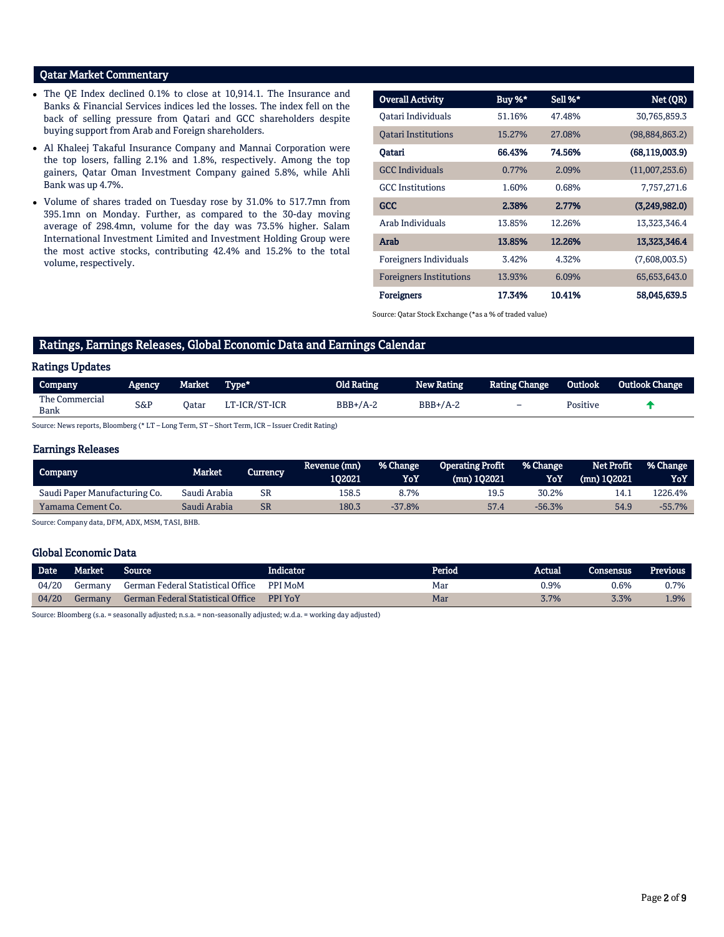# Qatar Market Commentary

- The QE Index declined 0.1% to close at 10,914.1. The Insurance and Banks & Financial Services indices led the losses. The index fell on the back of selling pressure from Qatari and GCC shareholders despite buying support from Arab and Foreign shareholders.
- Al Khaleej Takaful Insurance Company and Mannai Corporation were the top losers, falling 2.1% and 1.8%, respectively. Among the top gainers, Qatar Oman Investment Company gained 5.8%, while Ahli Bank was up 4.7%.
- Volume of shares traded on Tuesday rose by 31.0% to 517.7mn from 395.1mn on Monday. Further, as compared to the 30-day moving average of 298.4mn, volume for the day was 73.5% higher. Salam International Investment Limited and Investment Holding Group were the most active stocks, contributing 42.4% and 15.2% to the total volume, respectively.

| <b>Overall Activity</b>        | Buy %* | Sell %* | Net (QR)         |
|--------------------------------|--------|---------|------------------|
| Oatari Individuals             | 51.16% | 47.48%  | 30,765,859.3     |
| <b>Oatari Institutions</b>     | 15.27% | 27.08%  | (98,884,863.2)   |
| Qatari                         | 66.43% | 74.56%  | (68, 119, 003.9) |
| <b>GCC</b> Individuals         | 0.77%  | 2.09%   | (11,007,253.6)   |
| <b>GCC</b> Institutions        | 1.60%  | 0.68%   | 7,757,271.6      |
| <b>GCC</b>                     | 2.38%  | 2.77%   | (3,249,982.0)    |
| Arab Individuals               | 13.85% | 12.26%  | 13,323,346.4     |
| Arab                           | 13.85% | 12.26%  | 13,323,346.4     |
| Foreigners Individuals         | 3.42%  | 4.32%   | (7,608,003.5)    |
| <b>Foreigners Institutions</b> | 13.93% | 6.09%   | 65,653,643.0     |
| <b>Foreigners</b>              | 17.34% | 10.41%  | 58,045,639.5     |

Source: Qatar Stock Exchange (\*as a % of traded value)

# Ratings, Earnings Releases, Global Economic Data and Earnings Calendar

#### Ratings Updates

| Company                | 'Agency | Market . | Type*         | Old Rating | <b>New Rating</b> | Rating Change | Outlook  | <b>Outlook Change</b> |
|------------------------|---------|----------|---------------|------------|-------------------|---------------|----------|-----------------------|
| The Commercial<br>Bank | S&P     | Oatar    | LT-ICR/ST-ICR | $BBB+/A-2$ | $BBB+/A-2$        | -             | Positive |                       |
|                        |         |          |               |            |                   |               |          |                       |

Source: News reports, Bloomberg (\* LT – Long Term, ST – Short Term, ICR – Issuer Credit Rating)

### Earnings Releases

| <b>Company</b>                | Market.      | Currency | Revenue (mn)<br>102021 | % Change<br>YoY | <b>Operating Profit</b><br>(mn) 102021 | % Change<br>YoY | <b>Net Profit</b><br>(mn) 102021 | % Change<br>YoY |
|-------------------------------|--------------|----------|------------------------|-----------------|----------------------------------------|-----------------|----------------------------------|-----------------|
| Saudi Paper Manufacturing Co. | Saudi Arabia | SR       | 158.5                  | 8.7%            | 19.5                                   | 30.2%           | 14.                              | 226.4%          |
| Yamama Cement Co.             | Saudi Arabia | SR       | 180.3                  | $-37.8%$        | 57.4                                   | $-56.3%$        | 54.9                             | -55.7%          |

Source: Company data, DFM, ADX, MSM, TASI, BHB.

## Global Economic Data

| Date  | Market  | Source                            | Indicator      | Period | Actual | Consensus | <b>Previous</b> |
|-------|---------|-----------------------------------|----------------|--------|--------|-----------|-----------------|
| 04/20 | Germany | German Federal Statistical Office | <b>PPI MoM</b> | Mar    | 0.9%   | 0.6%      | $0.7\%$         |
| 04/20 | Germany | German Federal Statistical Office | <b>PPI YoY</b> | Mar    | 3.7%   | 3.3%      | $.9\%$          |

Source: Bloomberg (s.a. = seasonally adjusted; n.s.a. = non-seasonally adjusted; w.d.a. = working day adjusted)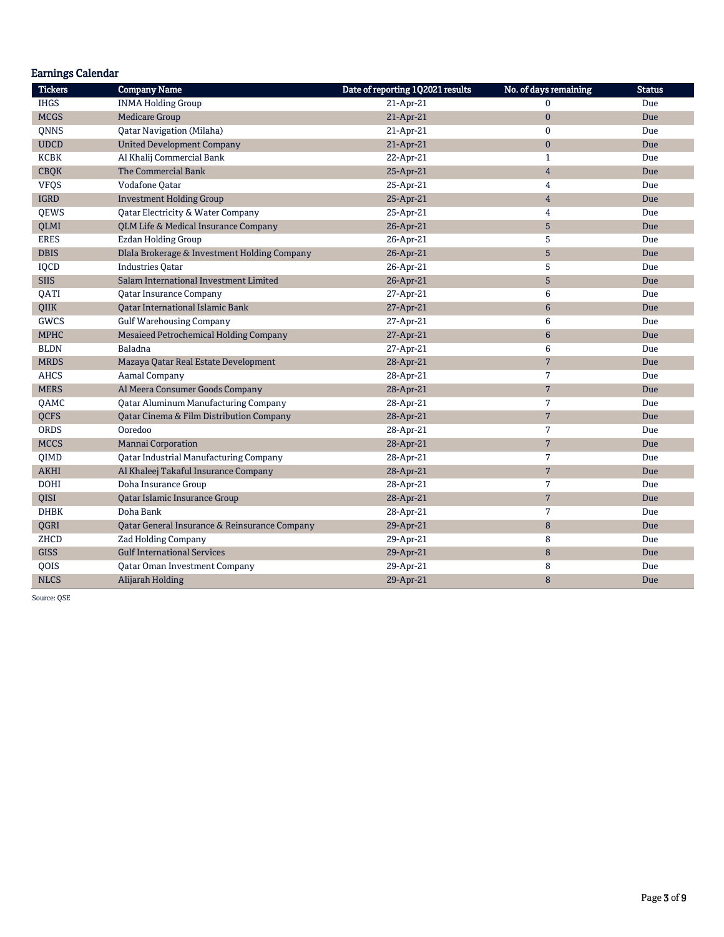|                | <b>Earnings Calendar</b>                      |                                  |                       |               |  |  |  |  |  |  |  |
|----------------|-----------------------------------------------|----------------------------------|-----------------------|---------------|--|--|--|--|--|--|--|
| <b>Tickers</b> | <b>Company Name</b>                           | Date of reporting 1Q2021 results | No. of days remaining | <b>Status</b> |  |  |  |  |  |  |  |
| <b>IHGS</b>    | <b>INMA Holding Group</b>                     | 21-Apr-21                        | $\Omega$              | Due           |  |  |  |  |  |  |  |
| <b>MCGS</b>    | <b>Medicare Group</b>                         | 21-Apr-21                        | $\pmb{0}$             | Due           |  |  |  |  |  |  |  |
| <b>QNNS</b>    | Qatar Navigation (Milaha)                     | 21-Apr-21                        | $\mathbf{0}$          | Due           |  |  |  |  |  |  |  |
| <b>UDCD</b>    | <b>United Development Company</b>             | 21-Apr-21                        | $\mathbf{0}$          | Due           |  |  |  |  |  |  |  |
| <b>KCBK</b>    | Al Khalij Commercial Bank                     | 22-Apr-21                        | $\mathbf{1}$          | Due           |  |  |  |  |  |  |  |
| <b>CBQK</b>    | The Commercial Bank                           | 25-Apr-21                        | $\overline{4}$        | Due           |  |  |  |  |  |  |  |
| <b>VFQS</b>    | Vodafone Qatar                                | 25-Apr-21                        | $\overline{4}$        | Due           |  |  |  |  |  |  |  |
| <b>IGRD</b>    | <b>Investment Holding Group</b>               | 25-Apr-21                        | $\overline{4}$        | Due           |  |  |  |  |  |  |  |
| QEWS           | Qatar Electricity & Water Company             | 25-Apr-21                        | $\overline{4}$        | Due           |  |  |  |  |  |  |  |
| <b>QLMI</b>    | QLM Life & Medical Insurance Company          | 26-Apr-21                        | 5                     | Due           |  |  |  |  |  |  |  |
| <b>ERES</b>    | <b>Ezdan Holding Group</b>                    | 26-Apr-21                        | 5                     | Due           |  |  |  |  |  |  |  |
| <b>DBIS</b>    | Dlala Brokerage & Investment Holding Company  | 26-Apr-21                        | 5                     | Due           |  |  |  |  |  |  |  |
| IQCD           | <b>Industries Qatar</b>                       | 26-Apr-21                        | 5                     | Due           |  |  |  |  |  |  |  |
| <b>SIIS</b>    | Salam International Investment Limited        | 26-Apr-21                        | 5                     | Due           |  |  |  |  |  |  |  |
| QATI           | <b>Qatar Insurance Company</b>                | 27-Apr-21                        | 6                     | Due           |  |  |  |  |  |  |  |
| QIIK           | Qatar International Islamic Bank              | 27-Apr-21                        | $6\phantom{1}$        | Due           |  |  |  |  |  |  |  |
| <b>GWCS</b>    | <b>Gulf Warehousing Company</b>               | 27-Apr-21                        | 6                     | Due           |  |  |  |  |  |  |  |
| <b>MPHC</b>    | Mesaieed Petrochemical Holding Company        | 27-Apr-21                        | 6                     | Due           |  |  |  |  |  |  |  |
| <b>BLDN</b>    | Baladna                                       | 27-Apr-21                        | 6                     | Due           |  |  |  |  |  |  |  |
| <b>MRDS</b>    | Mazaya Qatar Real Estate Development          | 28-Apr-21                        | $\overline{7}$        | Due           |  |  |  |  |  |  |  |
| <b>AHCS</b>    | <b>Aamal Company</b>                          | 28-Apr-21                        | 7                     | Due           |  |  |  |  |  |  |  |
| <b>MERS</b>    | Al Meera Consumer Goods Company               | 28-Apr-21                        | $\overline{7}$        | Due           |  |  |  |  |  |  |  |
| QAMC           | <b>Qatar Aluminum Manufacturing Company</b>   | 28-Apr-21                        | 7                     | Due           |  |  |  |  |  |  |  |
| <b>OCFS</b>    | Qatar Cinema & Film Distribution Company      | 28-Apr-21                        | $\overline{7}$        | Due           |  |  |  |  |  |  |  |
| <b>ORDS</b>    | Ooredoo                                       | 28-Apr-21                        | $\overline{7}$        | Due           |  |  |  |  |  |  |  |
| <b>MCCS</b>    | <b>Mannai Corporation</b>                     | 28-Apr-21                        | $7\phantom{.}$        | Due           |  |  |  |  |  |  |  |
| <b>OIMD</b>    | <b>Qatar Industrial Manufacturing Company</b> | 28-Apr-21                        | 7                     | Due           |  |  |  |  |  |  |  |
| <b>AKHI</b>    | Al Khaleej Takaful Insurance Company          | 28-Apr-21                        | $\overline{7}$        | Due           |  |  |  |  |  |  |  |
| <b>DOHI</b>    | Doha Insurance Group                          | 28-Apr-21                        | 7                     | Due           |  |  |  |  |  |  |  |
| QISI           | Qatar Islamic Insurance Group                 | 28-Apr-21                        | $\overline{7}$        | Due           |  |  |  |  |  |  |  |
| <b>DHBK</b>    | Doha Bank                                     | 28-Apr-21                        | $\overline{7}$        | Due           |  |  |  |  |  |  |  |
| QGRI           | Qatar General Insurance & Reinsurance Company | 29-Apr-21                        | 8                     | Due           |  |  |  |  |  |  |  |
| ZHCD           | Zad Holding Company                           | 29-Apr-21                        | 8                     | Due           |  |  |  |  |  |  |  |
| <b>GISS</b>    | <b>Gulf International Services</b>            | 29-Apr-21                        | $\bf 8$               | Due           |  |  |  |  |  |  |  |
| QOIS           | <b>Qatar Oman Investment Company</b>          | 29-Apr-21                        | 8                     | Due           |  |  |  |  |  |  |  |
| <b>NLCS</b>    | Alijarah Holding                              | 29-Apr-21                        | 8                     | Due           |  |  |  |  |  |  |  |

Source: QSE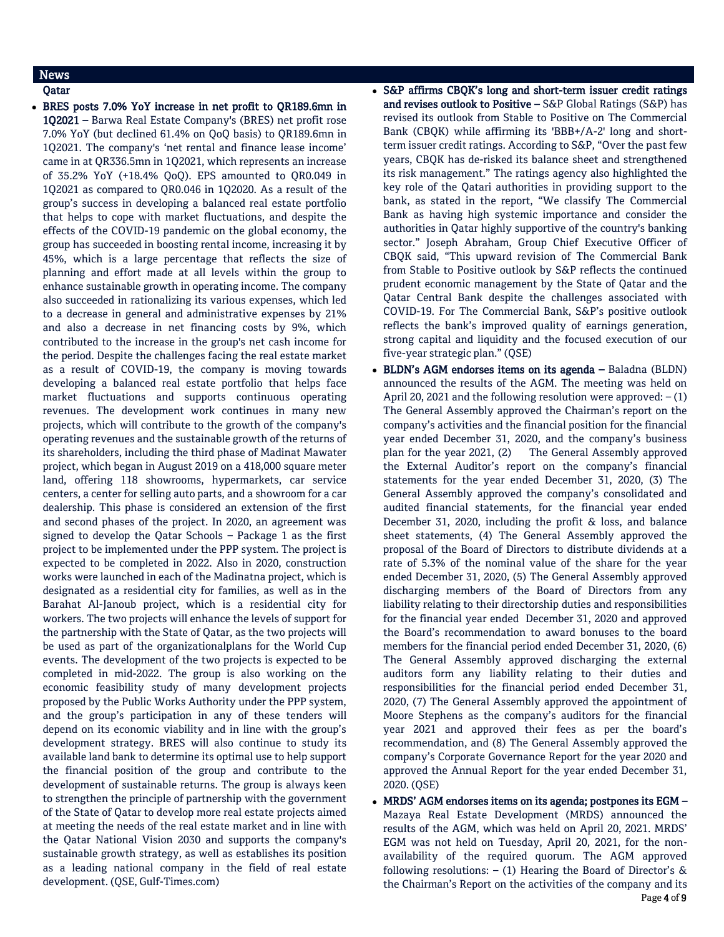# News

Qatar

 BRES posts 7.0% YoY increase in net profit to QR189.6mn in 1Q2021 – Barwa Real Estate Company's (BRES) net profit rose 7.0% YoY (but declined 61.4% on QoQ basis) to QR189.6mn in 1Q2021. The company's 'net rental and finance lease income' came in at QR336.5mn in 1Q2021, which represents an increase of 35.2% YoY (+18.4% QoQ). EPS amounted to QR0.049 in 1Q2021 as compared to QR0.046 in 1Q2020. As a result of the group's success in developing a balanced real estate portfolio that helps to cope with market fluctuations, and despite the effects of the COVID-19 pandemic on the global economy, the group has succeeded in boosting rental income, increasing it by 45%, which is a large percentage that reflects the size of planning and effort made at all levels within the group to enhance sustainable growth in operating income. The company also succeeded in rationalizing its various expenses, which led to a decrease in general and administrative expenses by 21% and also a decrease in net financing costs by 9%, which contributed to the increase in the group's net cash income for the period. Despite the challenges facing the real estate market as a result of COVID-19, the company is moving towards developing a balanced real estate portfolio that helps face market fluctuations and supports continuous operating revenues. The development work continues in many new projects, which will contribute to the growth of the company's operating revenues and the sustainable growth of the returns of its shareholders, including the third phase of Madinat Mawater project, which began in August 2019 on a 418,000 square meter land, offering 118 showrooms, hypermarkets, car service centers, a center for selling auto parts, and a showroom for a car dealership. This phase is considered an extension of the first and second phases of the project. In 2020, an agreement was signed to develop the Qatar Schools – Package 1 as the first project to be implemented under the PPP system. The project is expected to be completed in 2022. Also in 2020, construction works were launched in each of the Madinatna project, which is designated as a residential city for families, as well as in the Barahat Al-Janoub project, which is a residential city for workers. The two projects will enhance the levels of support for the partnership with the State of Qatar, as the two projects will be used as part of the organizationalplans for the World Cup events. The development of the two projects is expected to be completed in mid-2022. The group is also working on the economic feasibility study of many development projects proposed by the Public Works Authority under the PPP system, and the group's participation in any of these tenders will depend on its economic viability and in line with the group's development strategy. BRES will also continue to study its available land bank to determine its optimal use to help support the financial position of the group and contribute to the development of sustainable returns. The group is always keen to strengthen the principle of partnership with the government of the State of Qatar to develop more real estate projects aimed at meeting the needs of the real estate market and in line with the Qatar National Vision 2030 and supports the company's sustainable growth strategy, as well as establishes its position as a leading national company in the field of real estate development. (QSE, Gulf-Times.com)

 S&P affirms CBQK's long and short-term issuer credit ratings and revises outlook to Positive – S&P Global Ratings (S&P) has revised its outlook from Stable to Positive on The Commercial Bank (CBQK) while affirming its 'BBB+/A-2' long and shortterm issuer credit ratings. According to S&P, "Over the past few years, CBQK has de-risked its balance sheet and strengthened its risk management." The ratings agency also highlighted the key role of the Qatari authorities in providing support to the bank, as stated in the report, "We classify The Commercial Bank as having high systemic importance and consider the authorities in Qatar highly supportive of the country's banking sector." Joseph Abraham, Group Chief Executive Officer of CBQK said, "This upward revision of The Commercial Bank from Stable to Positive outlook by S&P reflects the continued prudent economic management by the State of Qatar and the Qatar Central Bank despite the challenges associated with COVID-19. For The Commercial Bank, S&P's positive outlook reflects the bank's improved quality of earnings generation, strong capital and liquidity and the focused execution of our five-year strategic plan." (QSE)

- BLDN's AGM endorses items on its agenda Baladna (BLDN) announced the results of the AGM. The meeting was held on April 20, 2021 and the following resolution were approved:  $-(1)$ The General Assembly approved the Chairman's report on the company's activities and the financial position for the financial year ended December 31, 2020, and the company's business plan for the year 2021, (2) The General Assembly approved the External Auditor's report on the company's financial statements for the year ended December 31, 2020, (3) The General Assembly approved the company's consolidated and audited financial statements, for the financial year ended December 31, 2020, including the profit & loss, and balance sheet statements, (4) The General Assembly approved the proposal of the Board of Directors to distribute dividends at a rate of 5.3% of the nominal value of the share for the year ended December 31, 2020, (5) The General Assembly approved discharging members of the Board of Directors from any liability relating to their directorship duties and responsibilities for the financial year ended December 31, 2020 and approved the Board's recommendation to award bonuses to the board members for the financial period ended December 31, 2020, (6) The General Assembly approved discharging the external auditors form any liability relating to their duties and responsibilities for the financial period ended December 31, 2020, (7) The General Assembly approved the appointment of Moore Stephens as the company's auditors for the financial year 2021 and approved their fees as per the board's recommendation, and (8) The General Assembly approved the company's Corporate Governance Report for the year 2020 and approved the Annual Report for the year ended December 31, 2020. (QSE)
- Page 4 of 9 MRDS' AGM endorses items on its agenda; postpones its EGM – Mazaya Real Estate Development (MRDS) announced the results of the AGM, which was held on April 20, 2021. MRDS' EGM was not held on Tuesday, April 20, 2021, for the nonavailability of the required quorum. The AGM approved following resolutions:  $- (1)$  Hearing the Board of Director's & the Chairman's Report on the activities of the company and its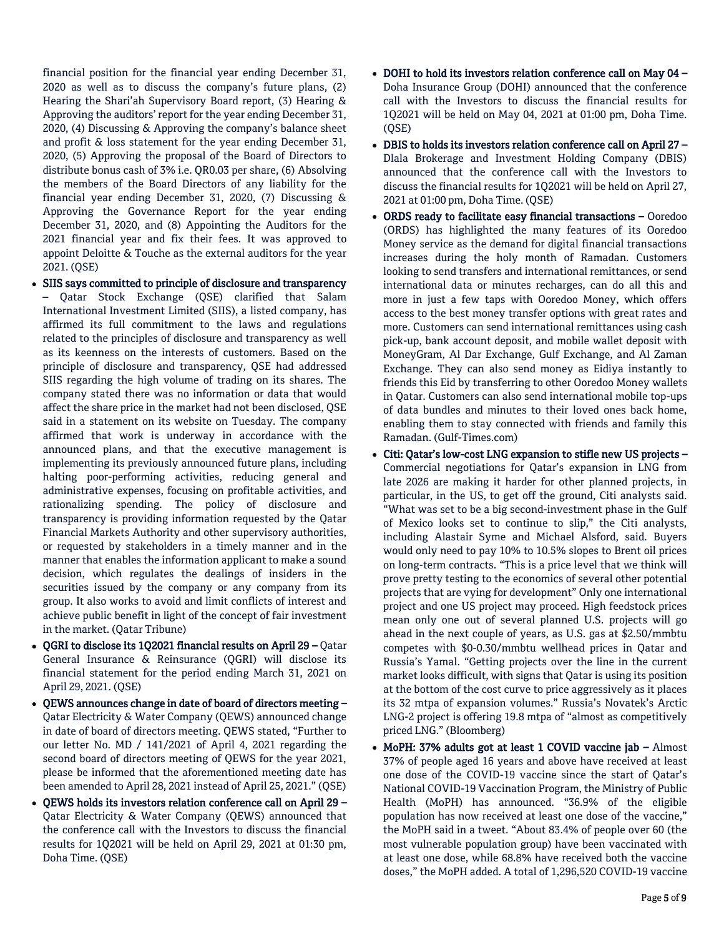financial position for the financial year ending December 31, 2020 as well as to discuss the company's future plans, (2) Hearing the Shari'ah Supervisory Board report, (3) Hearing & Approving the auditors' report for the year ending December 31, 2020, (4) Discussing & Approving the company's balance sheet and profit & loss statement for the year ending December 31, 2020, (5) Approving the proposal of the Board of Directors to distribute bonus cash of 3% i.e. QR0.03 per share, (6) Absolving the members of the Board Directors of any liability for the financial year ending December 31, 2020, (7) Discussing & Approving the Governance Report for the year ending December 31, 2020, and (8) Appointing the Auditors for the 2021 financial year and fix their fees. It was approved to appoint Deloitte & Touche as the external auditors for the year 2021. (QSE)

- SIIS says committed to principle of disclosure and transparency – Qatar Stock Exchange (QSE) clarified that Salam International Investment Limited (SIIS), a listed company, has affirmed its full commitment to the laws and regulations related to the principles of disclosure and transparency as well as its keenness on the interests of customers. Based on the principle of disclosure and transparency, QSE had addressed SIIS regarding the high volume of trading on its shares. The company stated there was no information or data that would affect the share price in the market had not been disclosed, QSE said in a statement on its website on Tuesday. The company affirmed that work is underway in accordance with the announced plans, and that the executive management is implementing its previously announced future plans, including halting poor-performing activities, reducing general and administrative expenses, focusing on profitable activities, and rationalizing spending. The policy of disclosure and transparency is providing information requested by the Qatar Financial Markets Authority and other supervisory authorities, or requested by stakeholders in a timely manner and in the manner that enables the information applicant to make a sound decision, which regulates the dealings of insiders in the securities issued by the company or any company from its group. It also works to avoid and limit conflicts of interest and achieve public benefit in light of the concept of fair investment in the market. (Qatar Tribune)
- QGRI to disclose its 1Q2021 financial results on April 29 Qatar General Insurance & Reinsurance (QGRI) will disclose its financial statement for the period ending March 31, 2021 on April 29, 2021. (QSE)
- QEWS announces change in date of board of directors meeting Qatar Electricity & Water Company (QEWS) announced change in date of board of directors meeting. QEWS stated, "Further to our letter No. MD / 141/2021 of April 4, 2021 regarding the second board of directors meeting of QEWS for the year 2021, please be informed that the aforementioned meeting date has been amended to April 28, 2021 instead of April 25, 2021." (QSE)
- $\bullet$  OEWS holds its investors relation conference call on April 29 Qatar Electricity & Water Company (QEWS) announced that the conference call with the Investors to discuss the financial results for 1Q2021 will be held on April 29, 2021 at 01:30 pm, Doha Time. (QSE)
- DOHI to hold its investors relation conference call on May 04 Doha Insurance Group (DOHI) announced that the conference call with the Investors to discuss the financial results for 1Q2021 will be held on May 04, 2021 at 01:00 pm, Doha Time. (QSE)
- DBIS to holds its investors relation conference call on April 27 Dlala Brokerage and Investment Holding Company (DBIS) announced that the conference call with the Investors to discuss the financial results for 1Q2021 will be held on April 27, 2021 at 01:00 pm, Doha Time. (QSE)
- ORDS ready to facilitate easy financial transactions Ooredoo (ORDS) has highlighted the many features of its Ooredoo Money service as the demand for digital financial transactions increases during the holy month of Ramadan. Customers looking to send transfers and international remittances, or send international data or minutes recharges, can do all this and more in just a few taps with Ooredoo Money, which offers access to the best money transfer options with great rates and more. Customers can send international remittances using cash pick-up, bank account deposit, and mobile wallet deposit with MoneyGram, Al Dar Exchange, Gulf Exchange, and Al Zaman Exchange. They can also send money as Eidiya instantly to friends this Eid by transferring to other Ooredoo Money wallets in Qatar. Customers can also send international mobile top-ups of data bundles and minutes to their loved ones back home, enabling them to stay connected with friends and family this Ramadan. (Gulf-Times.com)
- Citi: Qatar's low-cost LNG expansion to stifle new US projects Commercial negotiations for Qatar's expansion in LNG from late 2026 are making it harder for other planned projects, in particular, in the US, to get off the ground, Citi analysts said. "What was set to be a big second-investment phase in the Gulf of Mexico looks set to continue to slip," the Citi analysts, including Alastair Syme and Michael Alsford, said. Buyers would only need to pay 10% to 10.5% slopes to Brent oil prices on long-term contracts. "This is a price level that we think will prove pretty testing to the economics of several other potential projects that are vying for development" Only one international project and one US project may proceed. High feedstock prices mean only one out of several planned U.S. projects will go ahead in the next couple of years, as U.S. gas at \$2.50/mmbtu competes with \$0-0.30/mmbtu wellhead prices in Qatar and Russia's Yamal. "Getting projects over the line in the current market looks difficult, with signs that Qatar is using its position at the bottom of the cost curve to price aggressively as it places its 32 mtpa of expansion volumes." Russia's Novatek's Arctic LNG-2 project is offering 19.8 mtpa of "almost as competitively priced LNG." (Bloomberg)
- MoPH: 37% adults got at least 1 COVID vaccine jab Almost 37% of people aged 16 years and above have received at least one dose of the COVID-19 vaccine since the start of Qatar's National COVID-19 Vaccination Program, the Ministry of Public Health (MoPH) has announced. "36.9% of the eligible population has now received at least one dose of the vaccine," the MoPH said in a tweet. "About 83.4% of people over 60 (the most vulnerable population group) have been vaccinated with at least one dose, while 68.8% have received both the vaccine doses," the MoPH added. A total of 1,296,520 COVID-19 vaccine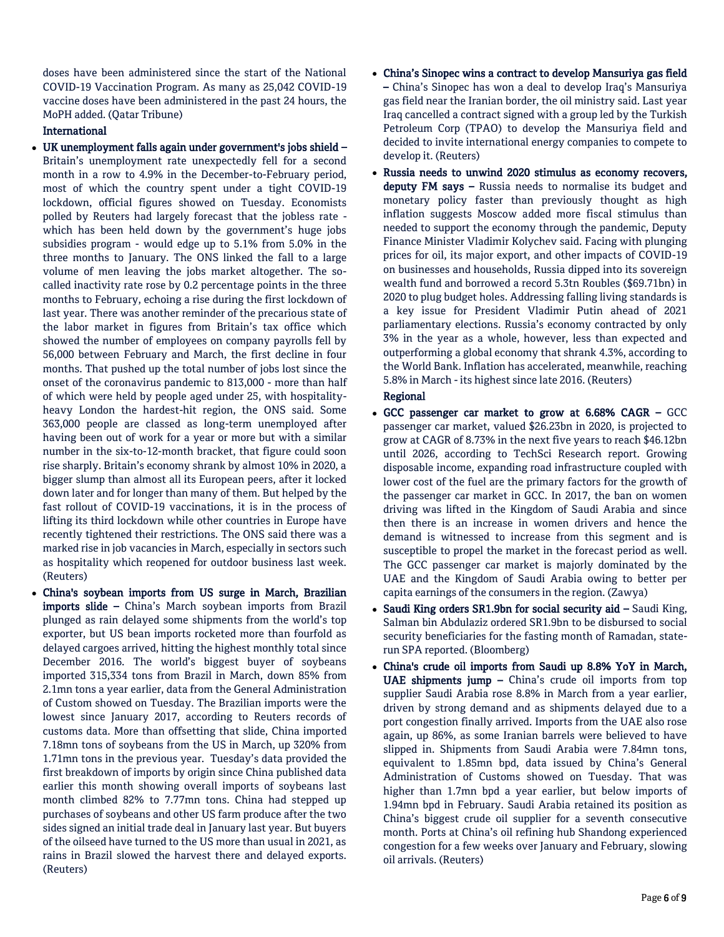doses have been administered since the start of the National COVID-19 Vaccination Program. As many as 25,042 COVID-19 vaccine doses have been administered in the past 24 hours, the MoPH added. (Qatar Tribune)

# International

- UK unemployment falls again under government's jobs shield Britain's unemployment rate unexpectedly fell for a second month in a row to 4.9% in the December-to-February period, most of which the country spent under a tight COVID-19 lockdown, official figures showed on Tuesday. Economists polled by Reuters had largely forecast that the jobless rate which has been held down by the government's huge jobs subsidies program - would edge up to 5.1% from 5.0% in the three months to January. The ONS linked the fall to a large volume of men leaving the jobs market altogether. The socalled inactivity rate rose by 0.2 percentage points in the three months to February, echoing a rise during the first lockdown of last year. There was another reminder of the precarious state of the labor market in figures from Britain's tax office which showed the number of employees on company payrolls fell by 56,000 between February and March, the first decline in four months. That pushed up the total number of jobs lost since the onset of the coronavirus pandemic to 813,000 - more than half of which were held by people aged under 25, with hospitalityheavy London the hardest-hit region, the ONS said. Some 363,000 people are classed as long-term unemployed after having been out of work for a year or more but with a similar number in the six-to-12-month bracket, that figure could soon rise sharply. Britain's economy shrank by almost 10% in 2020, a bigger slump than almost all its European peers, after it locked down later and for longer than many of them. But helped by the fast rollout of COVID-19 vaccinations, it is in the process of lifting its third lockdown while other countries in Europe have recently tightened their restrictions. The ONS said there was a marked rise in job vacancies in March, especially in sectors such as hospitality which reopened for outdoor business last week. (Reuters)
- China's soybean imports from US surge in March, Brazilian imports slide – China's March soybean imports from Brazil plunged as rain delayed some shipments from the world's top exporter, but US bean imports rocketed more than fourfold as delayed cargoes arrived, hitting the highest monthly total since December 2016. The world's biggest buyer of soybeans imported 315,334 tons from Brazil in March, down 85% from 2.1mn tons a year earlier, data from the General Administration of Custom showed on Tuesday. The Brazilian imports were the lowest since January 2017, according to Reuters records of customs data. More than offsetting that slide, China imported 7.18mn tons of soybeans from the US in March, up 320% from 1.71mn tons in the previous year. Tuesday's data provided the first breakdown of imports by origin since China published data earlier this month showing overall imports of soybeans last month climbed 82% to 7.77mn tons. China had stepped up purchases of soybeans and other US farm produce after the two sides signed an initial trade deal in January last year. But buyers of the oilseed have turned to the US more than usual in 2021, as rains in Brazil slowed the harvest there and delayed exports. (Reuters)
- China's Sinopec wins a contract to develop Mansuriya gas field – China's Sinopec has won a deal to develop Iraq's Mansuriya gas field near the Iranian border, the oil ministry said. Last year Iraq cancelled a contract signed with a group led by the Turkish Petroleum Corp (TPAO) to develop the Mansuriya field and decided to invite international energy companies to compete to develop it. (Reuters)
- Russia needs to unwind 2020 stimulus as economy recovers, deputy FM says – Russia needs to normalise its budget and monetary policy faster than previously thought as high inflation suggests Moscow added more fiscal stimulus than needed to support the economy through the pandemic, Deputy Finance Minister Vladimir Kolychev said. Facing with plunging prices for oil, its major export, and other impacts of COVID-19 on businesses and households, Russia dipped into its sovereign wealth fund and borrowed a record 5.3tn Roubles (\$69.71bn) in 2020 to plug budget holes. Addressing falling living standards is a key issue for President Vladimir Putin ahead of 2021 parliamentary elections. Russia's economy contracted by only 3% in the year as a whole, however, less than expected and outperforming a global economy that shrank 4.3%, according to the World Bank. Inflation has accelerated, meanwhile, reaching 5.8% in March - its highest since late 2016. (Reuters)

# Regional

- GCC passenger car market to grow at 6.68% CAGR GCC passenger car market, valued \$26.23bn in 2020, is projected to grow at CAGR of 8.73% in the next five years to reach \$46.12bn until 2026, according to TechSci Research report. Growing disposable income, expanding road infrastructure coupled with lower cost of the fuel are the primary factors for the growth of the passenger car market in GCC. In 2017, the ban on women driving was lifted in the Kingdom of Saudi Arabia and since then there is an increase in women drivers and hence the demand is witnessed to increase from this segment and is susceptible to propel the market in the forecast period as well. The GCC passenger car market is majorly dominated by the UAE and the Kingdom of Saudi Arabia owing to better per capita earnings of the consumers in the region. (Zawya)
- Saudi King orders SR1.9bn for social security aid  $-$  Saudi King, Salman bin Abdulaziz ordered SR1.9bn to be disbursed to social security beneficiaries for the fasting month of Ramadan, staterun SPA reported. (Bloomberg)
- China's crude oil imports from Saudi up 8.8% YoY in March, UAE shipments jump  $-$  China's crude oil imports from top supplier Saudi Arabia rose 8.8% in March from a year earlier, driven by strong demand and as shipments delayed due to a port congestion finally arrived. Imports from the UAE also rose again, up 86%, as some Iranian barrels were believed to have slipped in. Shipments from Saudi Arabia were 7.84mn tons, equivalent to 1.85mn bpd, data issued by China's General Administration of Customs showed on Tuesday. That was higher than 1.7mn bpd a year earlier, but below imports of 1.94mn bpd in February. Saudi Arabia retained its position as China's biggest crude oil supplier for a seventh consecutive month. Ports at China's oil refining hub Shandong experienced congestion for a few weeks over January and February, slowing oil arrivals. (Reuters)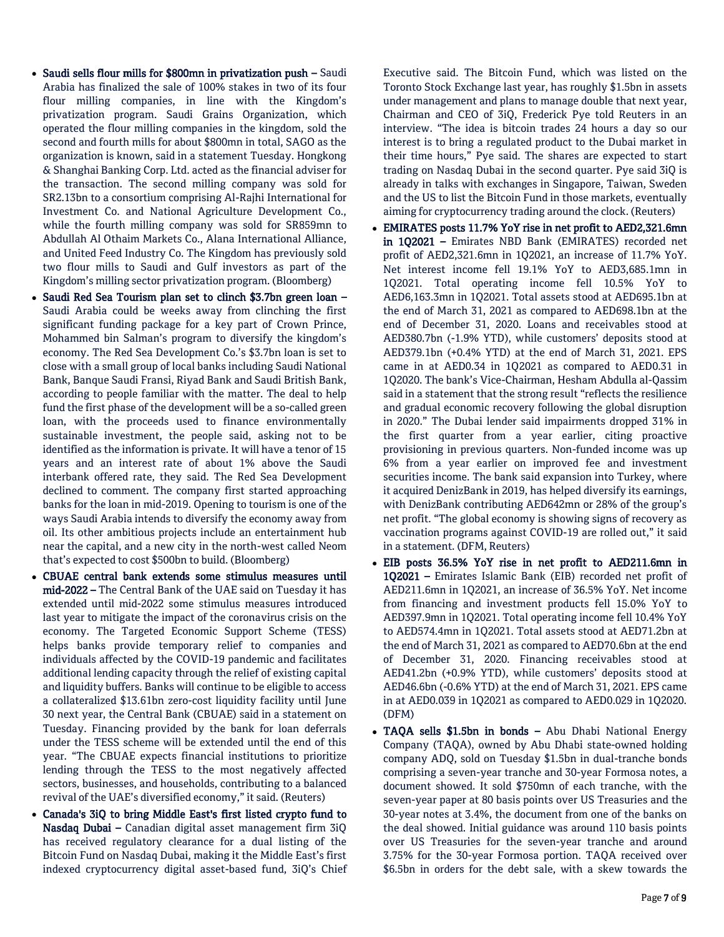- Saudi sells flour mills for \$800mn in privatization push Saudi Arabia has finalized the sale of 100% stakes in two of its four flour milling companies, in line with the Kingdom's privatization program. Saudi Grains Organization, which operated the flour milling companies in the kingdom, sold the second and fourth mills for about \$800mn in total, SAGO as the organization is known, said in a statement Tuesday. Hongkong & Shanghai Banking Corp. Ltd. acted as the financial adviser for the transaction. The second milling company was sold for SR2.13bn to a consortium comprising Al-Rajhi International for Investment Co. and National Agriculture Development Co., while the fourth milling company was sold for SR859mn to Abdullah Al Othaim Markets Co., Alana International Alliance, and United Feed Industry Co. The Kingdom has previously sold two flour mills to Saudi and Gulf investors as part of the Kingdom's milling sector privatization program. (Bloomberg)
- Saudi Red Sea Tourism plan set to clinch \$3.7bn green loan Saudi Arabia could be weeks away from clinching the first significant funding package for a key part of Crown Prince, Mohammed bin Salman's program to diversify the kingdom's economy. The Red Sea Development Co.'s \$3.7bn loan is set to close with a small group of local banks including Saudi National Bank, Banque Saudi Fransi, Riyad Bank and Saudi British Bank, according to people familiar with the matter. The deal to help fund the first phase of the development will be a so-called green loan, with the proceeds used to finance environmentally sustainable investment, the people said, asking not to be identified as the information is private. It will have a tenor of 15 years and an interest rate of about 1% above the Saudi interbank offered rate, they said. The Red Sea Development declined to comment. The company first started approaching banks for the loan in mid-2019. Opening to tourism is one of the ways Saudi Arabia intends to diversify the economy away from oil. Its other ambitious projects include an entertainment hub near the capital, and a new city in the north-west called Neom that's expected to cost \$500bn to build. (Bloomberg)
- CBUAE central bank extends some stimulus measures until mid-2022 – The Central Bank of the UAE said on Tuesday it has extended until mid-2022 some stimulus measures introduced last year to mitigate the impact of the coronavirus crisis on the economy. The Targeted Economic Support Scheme (TESS) helps banks provide temporary relief to companies and individuals affected by the COVID-19 pandemic and facilitates additional lending capacity through the relief of existing capital and liquidity buffers. Banks will continue to be eligible to access a collateralized \$13.61bn zero-cost liquidity facility until June 30 next year, the Central Bank (CBUAE) said in a statement on Tuesday. Financing provided by the bank for loan deferrals under the TESS scheme will be extended until the end of this year. "The CBUAE expects financial institutions to prioritize lending through the TESS to the most negatively affected sectors, businesses, and households, contributing to a balanced revival of the UAE's diversified economy," it said. (Reuters)
- Canada's 3iQ to bring Middle East's first listed crypto fund to Nasdaq Dubai – Canadian digital asset management firm 3iQ has received regulatory clearance for a dual listing of the Bitcoin Fund on Nasdaq Dubai, making it the Middle East's first indexed cryptocurrency digital asset-based fund, 3iQ's Chief

Executive said. The Bitcoin Fund, which was listed on the Toronto Stock Exchange last year, has roughly \$1.5bn in assets under management and plans to manage double that next year, Chairman and CEO of 3iQ, Frederick Pye told Reuters in an interview. "The idea is bitcoin trades 24 hours a day so our interest is to bring a regulated product to the Dubai market in their time hours," Pye said. The shares are expected to start trading on Nasdaq Dubai in the second quarter. Pye said 3iQ is already in talks with exchanges in Singapore, Taiwan, Sweden and the US to list the Bitcoin Fund in those markets, eventually aiming for cryptocurrency trading around the clock. (Reuters)

- EMIRATES posts 11.7% YoY rise in net profit to AED2,321.6mn in 1Q2021 – Emirates NBD Bank (EMIRATES) recorded net profit of AED2,321.6mn in 1Q2021, an increase of 11.7% YoY. Net interest income fell 19.1% YoY to AED3,685.1mn in 1Q2021. Total operating income fell 10.5% YoY to AED6,163.3mn in 1Q2021. Total assets stood at AED695.1bn at the end of March 31, 2021 as compared to AED698.1bn at the end of December 31, 2020. Loans and receivables stood at AED380.7bn (-1.9% YTD), while customers' deposits stood at AED379.1bn (+0.4% YTD) at the end of March 31, 2021. EPS came in at AED0.34 in 1Q2021 as compared to AED0.31 in 1Q2020. The bank's Vice-Chairman, Hesham Abdulla al-Qassim said in a statement that the strong result "reflects the resilience and gradual economic recovery following the global disruption in 2020." The Dubai lender said impairments dropped 31% in the first quarter from a year earlier, citing proactive provisioning in previous quarters. Non-funded income was up 6% from a year earlier on improved fee and investment securities income. The bank said expansion into Turkey, where it acquired DenizBank in 2019, has helped diversify its earnings, with DenizBank contributing AED642mn or 28% of the group's net profit. "The global economy is showing signs of recovery as vaccination programs against COVID-19 are rolled out," it said in a statement. (DFM, Reuters)
- EIB posts 36.5% YoY rise in net profit to AED211.6mn in 1Q2021 – Emirates Islamic Bank (EIB) recorded net profit of AED211.6mn in 1Q2021, an increase of 36.5% YoY. Net income from financing and investment products fell 15.0% YoY to AED397.9mn in 1Q2021. Total operating income fell 10.4% YoY to AED574.4mn in 1Q2021. Total assets stood at AED71.2bn at the end of March 31, 2021 as compared to AED70.6bn at the end of December 31, 2020. Financing receivables stood at AED41.2bn (+0.9% YTD), while customers' deposits stood at AED46.6bn (-0.6% YTD) at the end of March 31, 2021. EPS came in at AED0.039 in 1Q2021 as compared to AED0.029 in 1Q2020. (DFM)
- TAQA sells \$1.5bn in bonds Abu Dhabi National Energy Company (TAQA), owned by Abu Dhabi state-owned holding company ADQ, sold on Tuesday \$1.5bn in dual-tranche bonds comprising a seven-year tranche and 30-year Formosa notes, a document showed. It sold \$750mn of each tranche, with the seven-year paper at 80 basis points over US Treasuries and the 30-year notes at 3.4%, the document from one of the banks on the deal showed. Initial guidance was around 110 basis points over US Treasuries for the seven-year tranche and around 3.75% for the 30-year Formosa portion. TAQA received over \$6.5bn in orders for the debt sale, with a skew towards the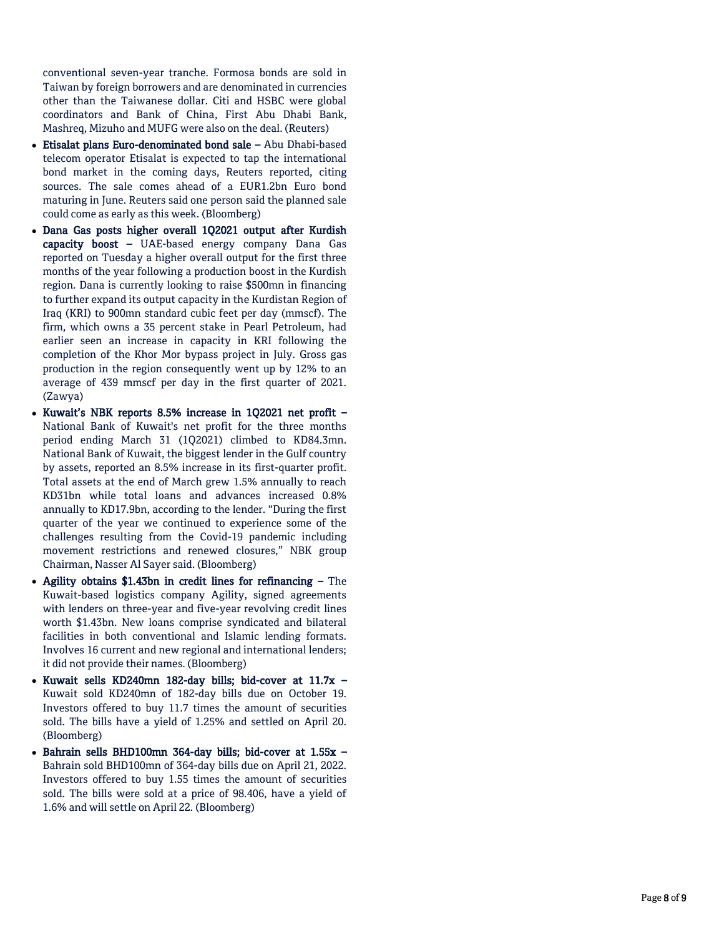conventional seven -year tranche. Formosa bonds are sold in Taiwan by foreign borrowers and are denominated in currencies other than the Taiwanese dollar. Citi and HSBC were global coordinators and Bank of China, First Abu Dhabi Bank, Mashreq, Mizuho and MUFG were also on the deal. (Reuters)

- Etisalat plans Euro-denominated bond sale Abu Dhabi-based telecom operator Etisalat is expected to tap the international bond market in the coming days, Reuters reported, citing sources. The sale comes ahead of a EUR1.2bn Euro bond maturing in June. Reuters said one person said the planned sale could come as early as this week. (Bloomberg)
- Dana Gas posts higher overall 1Q2021 output after Kurdish capacity boost - UAE-based energy company Dana Gas reported on Tuesday a higher overall output for the first three months of the year following a production boost in the Kurdish region. Dana is currently looking to raise \$500mn in financing to further expand its output capacity in the Kurdistan Region of Iraq (KRI) to 900mn standard cubic feet per day (mmscf). The firm, which owns a 35 percent stake in Pearl Petroleum, had earlier seen an increase in capacity in KRI following the completion of the Khor Mor bypass project in July. Gross gas production in the region consequently went up by 12% to an average of 439 mmscf per day in the first quarter of 2021. (Zawya)
- Kuwait's NBK reports 8.5% increase in 1Q2021 net profit National Bank of Kuwait's net profit for the three months period ending March 31 (1Q2021) climbed to KD84.3mn. National Bank of Kuwait, the biggest lender in the Gulf country by assets, reported an 8.5% increase in its first -quarter profit. Total assets at the end of March grew 1.5% annually to reach KD31bn while total loans and advances increased 0.8% annually to KD17.9bn, according to the lender. "During the first quarter of the year we continued to experience some of the challenges resulting from the Covid -19 pandemic including movement restrictions and renewed closures," NBK group Chairman, Nasser Al Sayer said. (Bloomberg)
- Agility obtains \$1.43bn in credit lines for refinancing The Kuwait -based logistics company Agility, signed agreements with lenders on three -year and five -year revolving credit lines worth \$1.43bn. New loans comprise syndicated and bilateral facilities in both conventional and Islamic lending formats. Involves 16 current and new regional and international lenders; it did not provide their names. (Bloomberg)
- Kuwait sells KD240mn 182-day bills; bid-cover at 11.7x -Kuwait sold KD240mn of 182 -day bills due on October 19. Investors offered to buy 11.7 times the amount of securities sold. The bills have a yield of 1.25% and settled on April 20. (Bloomberg)
- Bahrain sells BHD100mn 364-day bills; bid-cover at 1.55x -Bahrain sold BHD100mn of 364 -day bills due on April 21, 2022. Investors offered to buy 1.55 times the amount of securities sold. The bills were sold at a price of 98.406, have a yield of 1.6% and will settle on April 22. (Bloomberg)